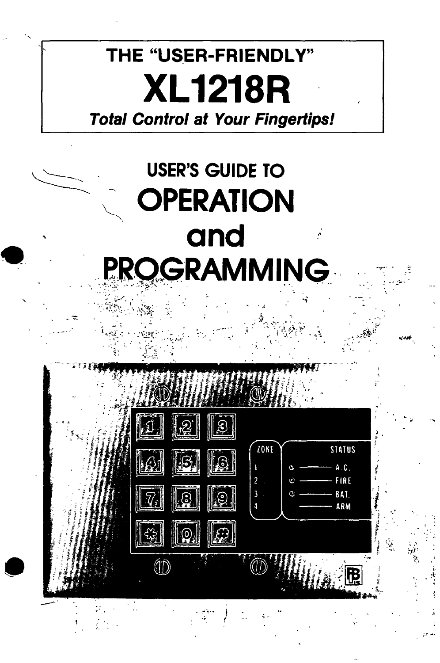# THE "USER-FRIENDLY" **XL1218R Total Control at Your Fingertips!**

# **USER'S GUIDE TO OPERATION** and **PROGRAMMING**

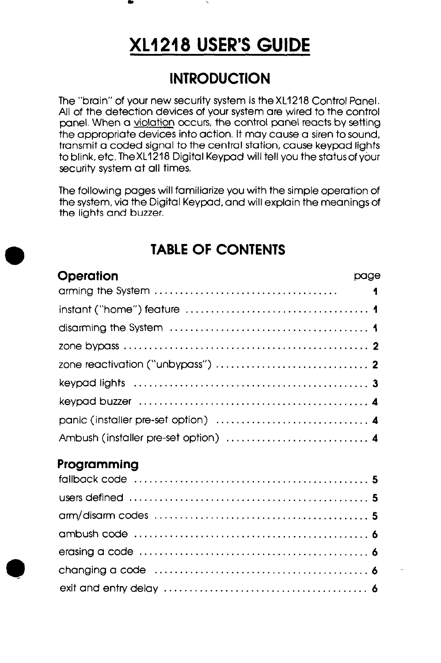#### matrix and the second control of the second control of the second control of the second control of the second control of the second control of the second control of the second control of the second control of the second co

# XL1 218 USER'S GUIDE

#### **INTRODUCTION**

The "brain" of your new security system is the XL1218 Control Panel. All of the detection devices of your system are wired to the control panel. When a violation occurs, the control panel reacts by setting the appropriate devices into action. It may cause a siren to sound, transmit a coded signal to the central station, cause keypad lights to blink, etc. TheXL1218 Digital Keypad will tell you the statusof your security system at all times.

The following pages will familiarize you with the simple operation of the system, via the Digital Keypad, and will explain the meanings of the lights and buzzer.

#### TABLE OF CONTENTS

| Operation                            | page |
|--------------------------------------|------|
|                                      |      |
|                                      |      |
|                                      |      |
|                                      |      |
|                                      |      |
|                                      |      |
|                                      |      |
| panic (installer pre-set option)  4  |      |
| Ambush (installer pre-set option)  4 |      |
| Programming                          |      |
|                                      |      |
|                                      |      |
|                                      |      |
|                                      |      |
|                                      |      |
|                                      |      |
|                                      |      |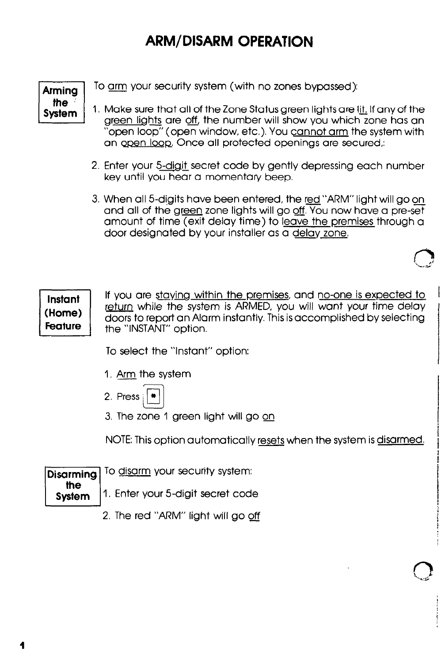### ARM/DISARM OPERATION

Arming the System

To am your security system (with no zones bypassed):

- I. Make sure that all of the Zone Status green lightsare Ifi If any of the areen lights are off. the number will show you which zone has an "open loop" (open window, etc.). You cannot arm the system with an open loop. Once all protected openings are secured,:
- 2. Enter your 5-digit secret code by gently depressing each number key until you hear a momentary beep.
- 3. When all 5-digits have been entered, the red "ARM" light will go on and all of the green zone lights will go off. You now have a pre-set amount of time (exit delay time) to leave the premises through a door designated by your installer as a delav zone.

Instant<br>(Home) Feature

doors to report an Alarm instantly. This is accomplished by selecting the "INSTANT" option. If you are staying within the premises, and no-one is expected to return while the system is ARMED, you will want your time delay 1

I

To select the "Instant" option:

- I. Arm the system
- 2. Press  $|\cdot|$
- 3. The zone 1 green light will go on

NOTE: This option automatically resets when the system is disarmed.

| Disarming To disarm your security system:    |
|----------------------------------------------|
| the system 1. Enter your 5-digit secret code |
| $2$ The red "ADM" light will go off          |

2. The red "ARM" light will go off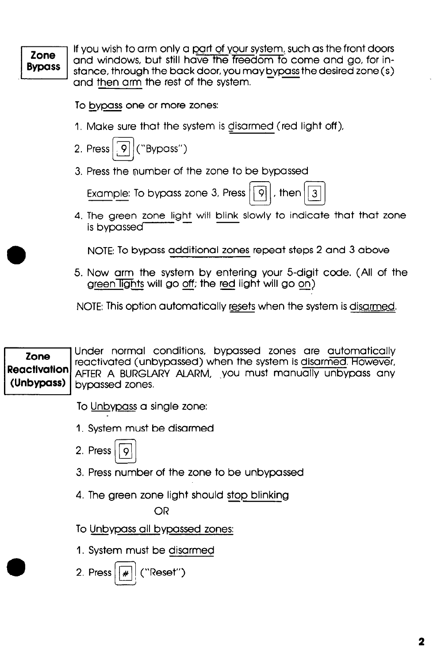#### Zone **Bypass**

If you wish to arm only a part of your system, such as the front doors and windows, but still have the freedom to come and go, for instance, through the back door, you may <u>bypass</u> the desired zone ( s and then arm the rest of the system.

To bypass one or more zones:

- 1. Make sure that the system is disarmed (red light off),
- 2. Press  $\sqrt{9}$  ("Bypass")

3. Press the number of the zone to be bypassed

Example: To bypass zone 3, Press  $\lceil \frac{1}{9} \rceil$ , then  $\lceil \frac{1}{3} \rceil$ 

4. The green zone light will blink slowly to indicate that that zone is bypassed<sup>-</sup>

NOTE: To bypass additional zones repeat steps 2 and 3 above

5. Now arm the system by entering your 5-digit code. (All of the g<u>reen lights</u> will go <u>off</u>; the red light will go <u>on)</u>

NOTE: This option automatically resets when the system is disarmed.

L, Zone<br>Reactivation<br>(Unbypass (Unbypass) Under normal conditions, bypassed zones are automatically reactivated (unbypassed) when the system is disarmed. However, AFTER A BURGLARY ALARM, you must manually unbypass any bypassed zones. 1

To Unbypass a single zone:

- I, System must be disarmed
- 2. Press  $\ddot{Q}$
- 3. Press number of the zone to be unbypassed
- 4. The green zone light should stop blinking

OR

To Unbypass all bypassed zones:

1. System must be disarmed

2. Press  $||\cdot||$  ("Reset")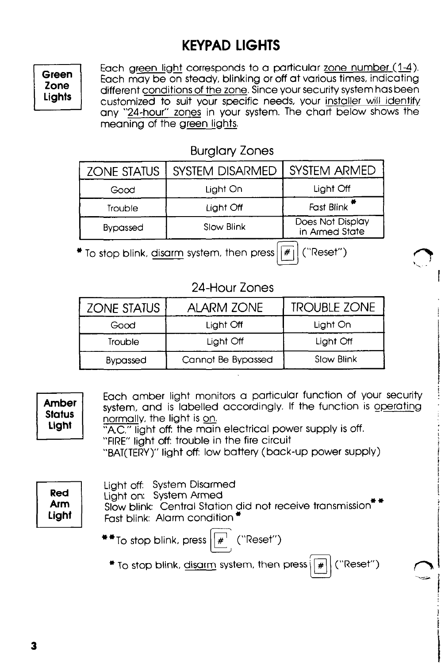# KEYPAD LIGHTS

Green Zone Lights Each green light corresponds to a particular zone number (1-4). Each may be on steady, blinking or off at various times, indicating different conditions of the zone. Since your security system has been customized to suit your specific needs, your installer will identify any "24-hour" zones in your system. The chart below shows the meaning of the green lights.

#### Burglary Zones

| <b>ZONE STATUS</b> | <b>SYSTEM DISARMED</b> | <b>SYSTEM ARMED</b>                |
|--------------------|------------------------|------------------------------------|
| Good               | Light On               | Light Off                          |
| Trouble            | Light Off              | Fast Blink <sup>*</sup>            |
| <b>Bypassed</b>    | Slow Blink             | Does Not Display<br>in Armed State |

 $*$  To stop blink, disarm system, then press  $|\mathcal{F}_1|$  ("Reset")

#### 24-Hour Zones

| <b>ZONE STATUS</b> | <b>ALARM ZONE</b>  | <b>TROUBLE ZONE</b> |
|--------------------|--------------------|---------------------|
| Good               | Light Off          | Light On            |
| Trouble            | Light Off          | Light Off           |
| <b>Bypassed</b>    | Cannot Be Bypassed | Slow Blink          |

| Amber<br><b>Status</b><br>Light   | Each amber light monitors a particular function of your security<br>system, and is labelled accordingly. If the function is operating<br>normally, the light is on.<br>"A.C." light off the main electrical power supply is off.<br>"FIRE" light off: trouble in the fire circuit<br>"BAT(TERY)" light off: low battery (back-up power supply) |
|-----------------------------------|------------------------------------------------------------------------------------------------------------------------------------------------------------------------------------------------------------------------------------------------------------------------------------------------------------------------------------------------|
| <b>Red</b><br><b>Arm</b><br>Light | Light off: System Disarmed<br>Light on: System Armed<br>Slow blink: Central Station did not receive transmission"<br>Fast blink: Alarm condition*<br>$*$ To stop blink, press $\left  \frac{1}{n} \right $ ("Reset")<br>("Reset")<br>$*$ To stop blink, disarm system, then press $\sqrt{4}$                                                   |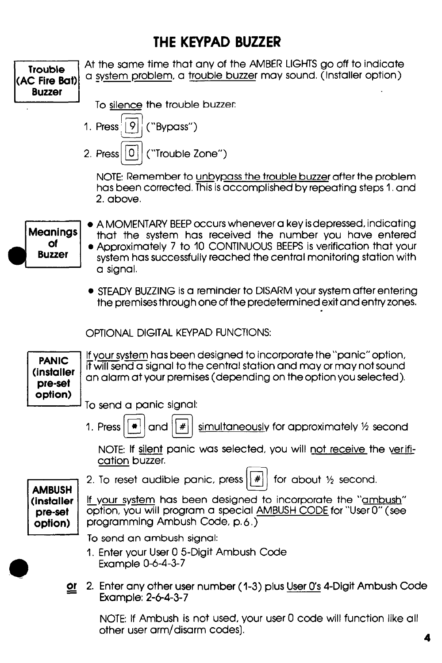#### THE KEYPAD BUZZER

| Trouble<br>(AC Fire Bat)<br><b>Buzzer</b>         | At the same time that any of the AMBER LIGHTS go off to indicate<br>a system problem, a trouble buzzer may sound. (Installer option)                                                                                                                                                    |
|---------------------------------------------------|-----------------------------------------------------------------------------------------------------------------------------------------------------------------------------------------------------------------------------------------------------------------------------------------|
|                                                   | To silence the trouble buzzer:                                                                                                                                                                                                                                                          |
|                                                   | 1. Press <sup><math>\vert</math></sup>   9<br>("Bypass")                                                                                                                                                                                                                                |
|                                                   | 10 I<br>("Trouble Zone")<br>2. Press                                                                                                                                                                                                                                                    |
|                                                   | NOTE: Remember to unbypass the trouble buzzer after the problem<br>has been corrected. This is accomplished by repeating steps 1. and<br>2. above.                                                                                                                                      |
| <b>Meanings</b><br>Οf<br><b>Buzzer</b>            | • A MOMENTARY BEEP occurs whenever a key is depressed, indicating<br>that the system has received the number you have entered<br>• Approximately 7 to 10 CONTINUOUS BEEPS is verification that your<br>system has successfully reached the central monitoring station with<br>a signal. |
|                                                   | • STEADY BUZZING is a reminder to DISARM your system after entering<br>the premises through one of the predetermined exit and entry zones.                                                                                                                                              |
|                                                   | OPTIONAL DIGITAL KEYPAD FUNCTIONS:                                                                                                                                                                                                                                                      |
| <b>PANIC</b><br>(installer<br>pre-set             | If your system has been designed to incorporate the "panic" option,<br>it will send a signal to the central station and may or may not sound<br>an alarm at your premises (depending on the option you selected).                                                                       |
| option)                                           | To send a panic signal:                                                                                                                                                                                                                                                                 |
|                                                   | 1. Press<br>simultaneously for approximately 1/2 second<br>#<br>and                                                                                                                                                                                                                     |
|                                                   | NOTE: If silent panic was selected, you will not receive the verifi-<br>cation buzzer.                                                                                                                                                                                                  |
|                                                   | 2. To reset audible panic, press $  # $<br>for about 1/2 second.                                                                                                                                                                                                                        |
| <b>AMBUSH</b><br>(installer<br>pre-set<br>option) | If your system has been designed to incorporate the "ambush"<br>option, you will program a special AMBUSH CODE for "User 0" (see<br>programming Ambush Code, p.6.)                                                                                                                      |
|                                                   | To send an ambush signal:                                                                                                                                                                                                                                                               |
|                                                   | 1. Enter your User 0 5-Digit Ambush Code<br>Example 0-6-4-3-7                                                                                                                                                                                                                           |
| <u>or</u>                                         | 2. Enter any other user number (1-3) plus User O's 4-Digit Ambush Code<br>Example: 2-6-4-3-7                                                                                                                                                                                            |
|                                                   | NOTE: If Ambush is not used, your user 0 code will function like all                                                                                                                                                                                                                    |

other user arm/disarm codes].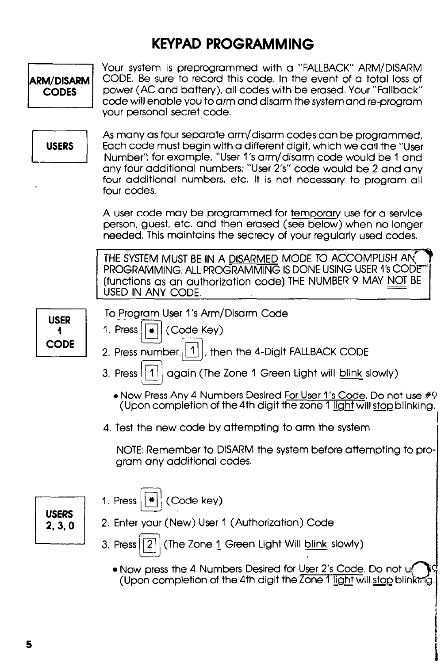# KEYPAD PROGRAMMING

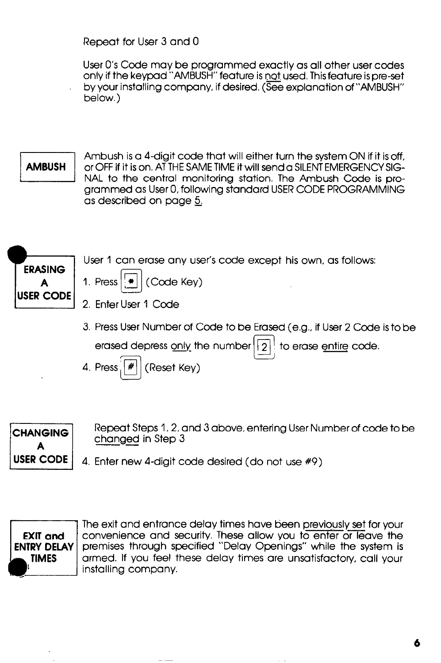Repeat for User 3 and 0

User O's Code may be programmed exactly as all other user codes only if the keypad "AMBUSH" feature is not used. This feature is preset by your installing company, if desired. (See explanation of "AMBUSH" below.)

#### **AMBUSH**

Ambush is a 4-digit code that will either turn the system ON if it is off. or OFF if it is on. AT THE SAME TIME it will send a SILENT EMERGENCY SIG-NAL to the central monitoring station. The Ambush Code is programmed as User 0, following standard USER CODE PROGRAMMING as described on page &



3. Press User Number of Code to be Erased (e.g., if User 2 Code is to be

erased depress only the number  $\lceil 2 \rceil$  to erase entire code.  $\overline{\phantom{a}}$ 

ٹا 4. Press  $\mathcal{F}$  (Reset Key)



Repeat Steps 1,2. and 3 above, entering User Number of code to be changed in Step 3

**USER CODE**  $\vert$  4. Enter new 4-digit code desired (do not use  $\#9$ )



The exit and entrance delay times have been previously set for your convenience and security. These allow you to enter or leave the premises through specified "Delay Openings" while the system is armed. If you feel these delay times are unsatisfactory, call your installing company.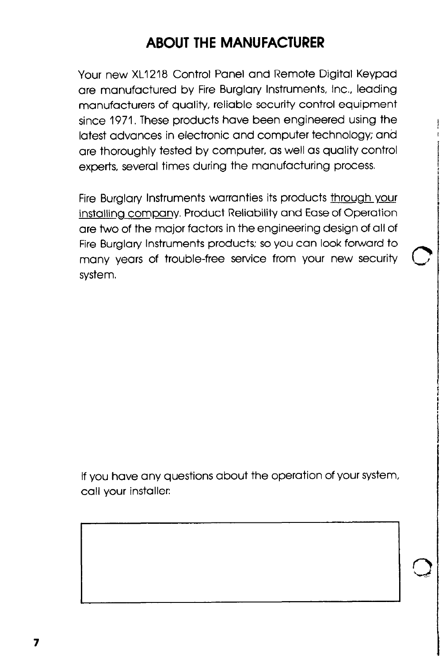## ABOUT THE MANUFACTURER

Your new XL1218 Control Panel and Remote Digital Keypad are manufactured by Fire Burglary Instruments, Inc., leading manufacturers of quality, reliable security control equipment since 1971. These products have been engineered using the latest advances in electronic and computer technology; and are thoroughly tested by computer, as well as quality control experts, several times during the manufacturing process.

Fire Burglary Instruments warranties its products through your installing company. Product Reliability and Ease of Operation are two of the major factors in the engineering design of all of Fire Burglary Instruments products; so you can look forward to many years of trouble-free service from your new security system.

If you have any questions about the operation of your system, call your installer: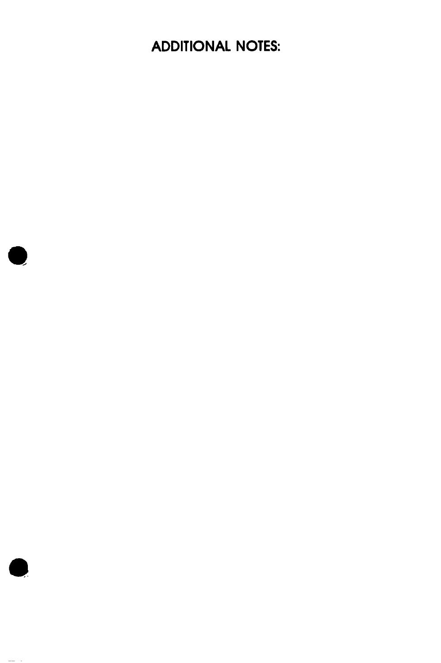ADDITIONAL NOTES:



 $\bullet$